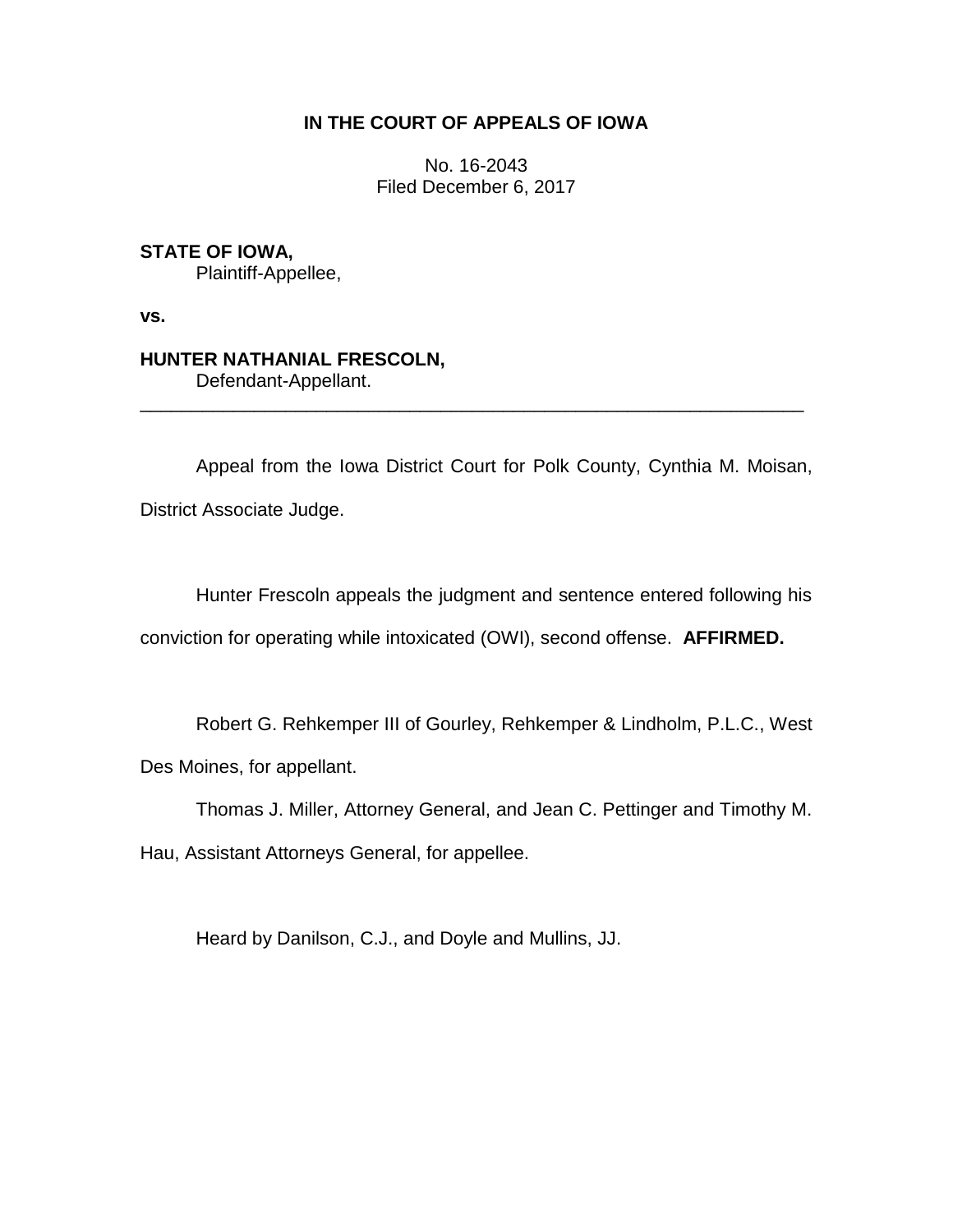# **IN THE COURT OF APPEALS OF IOWA**

No. 16-2043 Filed December 6, 2017

**STATE OF IOWA,**

Plaintiff-Appellee,

**vs.**

# **HUNTER NATHANIAL FRESCOLN,**

Defendant-Appellant.

Appeal from the Iowa District Court for Polk County, Cynthia M. Moisan, District Associate Judge.

\_\_\_\_\_\_\_\_\_\_\_\_\_\_\_\_\_\_\_\_\_\_\_\_\_\_\_\_\_\_\_\_\_\_\_\_\_\_\_\_\_\_\_\_\_\_\_\_\_\_\_\_\_\_\_\_\_\_\_\_\_\_\_\_

Hunter Frescoln appeals the judgment and sentence entered following his conviction for operating while intoxicated (OWI), second offense. **AFFIRMED.**

Robert G. Rehkemper III of Gourley, Rehkemper & Lindholm, P.L.C., West Des Moines, for appellant.

Thomas J. Miller, Attorney General, and Jean C. Pettinger and Timothy M.

Hau, Assistant Attorneys General, for appellee.

Heard by Danilson, C.J., and Doyle and Mullins, JJ.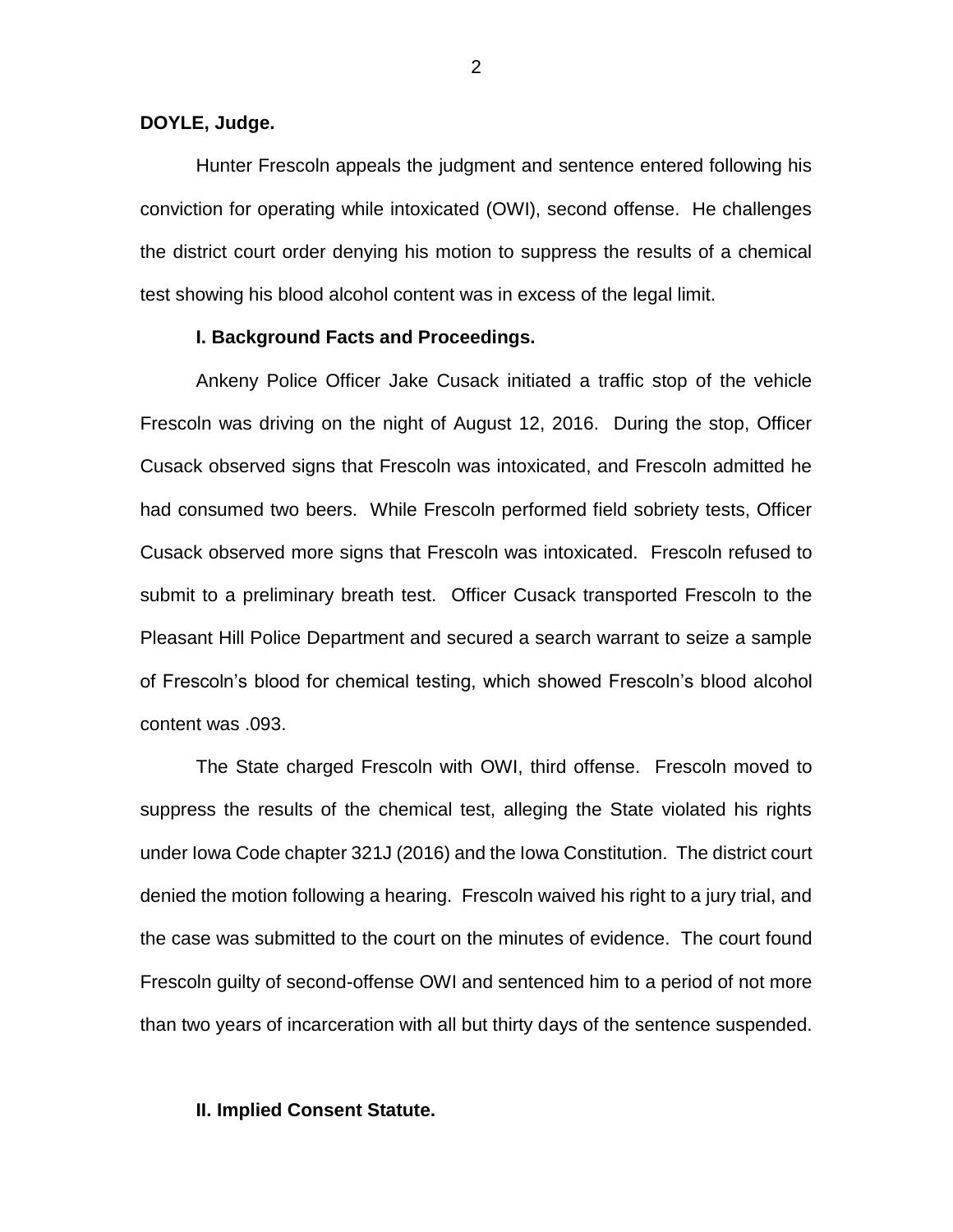#### **DOYLE, Judge.**

Hunter Frescoln appeals the judgment and sentence entered following his conviction for operating while intoxicated (OWI), second offense. He challenges the district court order denying his motion to suppress the results of a chemical test showing his blood alcohol content was in excess of the legal limit.

### **I. Background Facts and Proceedings.**

Ankeny Police Officer Jake Cusack initiated a traffic stop of the vehicle Frescoln was driving on the night of August 12, 2016. During the stop, Officer Cusack observed signs that Frescoln was intoxicated, and Frescoln admitted he had consumed two beers. While Frescoln performed field sobriety tests, Officer Cusack observed more signs that Frescoln was intoxicated. Frescoln refused to submit to a preliminary breath test. Officer Cusack transported Frescoln to the Pleasant Hill Police Department and secured a search warrant to seize a sample of Frescoln's blood for chemical testing, which showed Frescoln's blood alcohol content was .093.

The State charged Frescoln with OWI, third offense. Frescoln moved to suppress the results of the chemical test, alleging the State violated his rights under Iowa Code chapter 321J (2016) and the Iowa Constitution. The district court denied the motion following a hearing. Frescoln waived his right to a jury trial, and the case was submitted to the court on the minutes of evidence. The court found Frescoln guilty of second-offense OWI and sentenced him to a period of not more than two years of incarceration with all but thirty days of the sentence suspended.

#### **II. Implied Consent Statute.**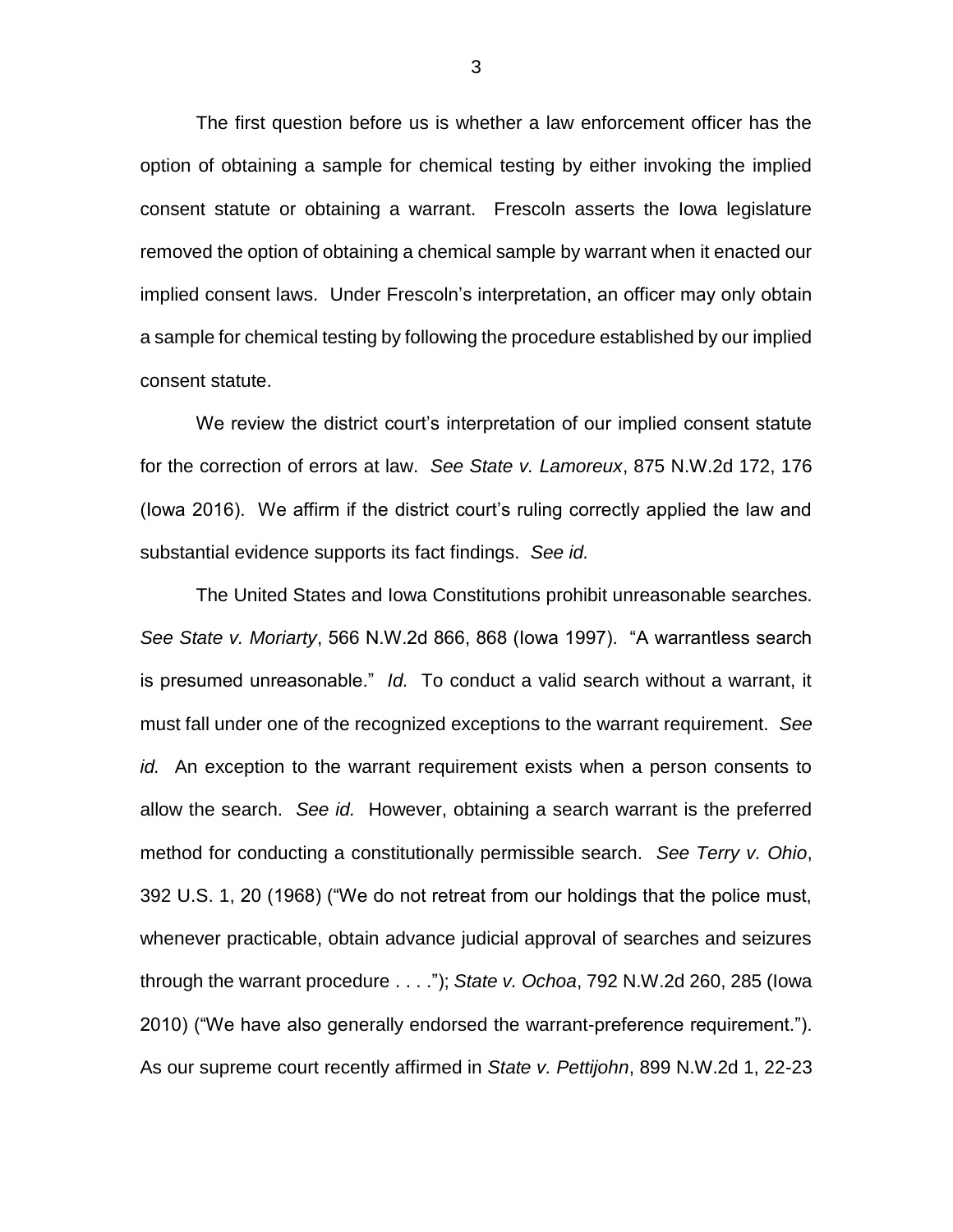The first question before us is whether a law enforcement officer has the option of obtaining a sample for chemical testing by either invoking the implied consent statute or obtaining a warrant. Frescoln asserts the Iowa legislature removed the option of obtaining a chemical sample by warrant when it enacted our implied consent laws. Under Frescoln's interpretation, an officer may only obtain a sample for chemical testing by following the procedure established by our implied consent statute.

We review the district court's interpretation of our implied consent statute for the correction of errors at law. *See State v. Lamoreux*, 875 N.W.2d 172, 176 (Iowa 2016). We affirm if the district court's ruling correctly applied the law and substantial evidence supports its fact findings. *See id.*

The United States and Iowa Constitutions prohibit unreasonable searches. *See State v. Moriarty*, 566 N.W.2d 866, 868 (Iowa 1997). "A warrantless search is presumed unreasonable." *Id.* To conduct a valid search without a warrant, it must fall under one of the recognized exceptions to the warrant requirement. *See id.* An exception to the warrant requirement exists when a person consents to allow the search. *See id.* However, obtaining a search warrant is the preferred method for conducting a constitutionally permissible search. *See Terry v. Ohio*, 392 U.S. 1, 20 (1968) ("We do not retreat from our holdings that the police must, whenever practicable, obtain advance judicial approval of searches and seizures through the warrant procedure . . . ."); *State v. Ochoa*, 792 N.W.2d 260, 285 (Iowa 2010) ("We have also generally endorsed the warrant-preference requirement."). As our supreme court recently affirmed in *State v. Pettijohn*, 899 N.W.2d 1, 22-23

3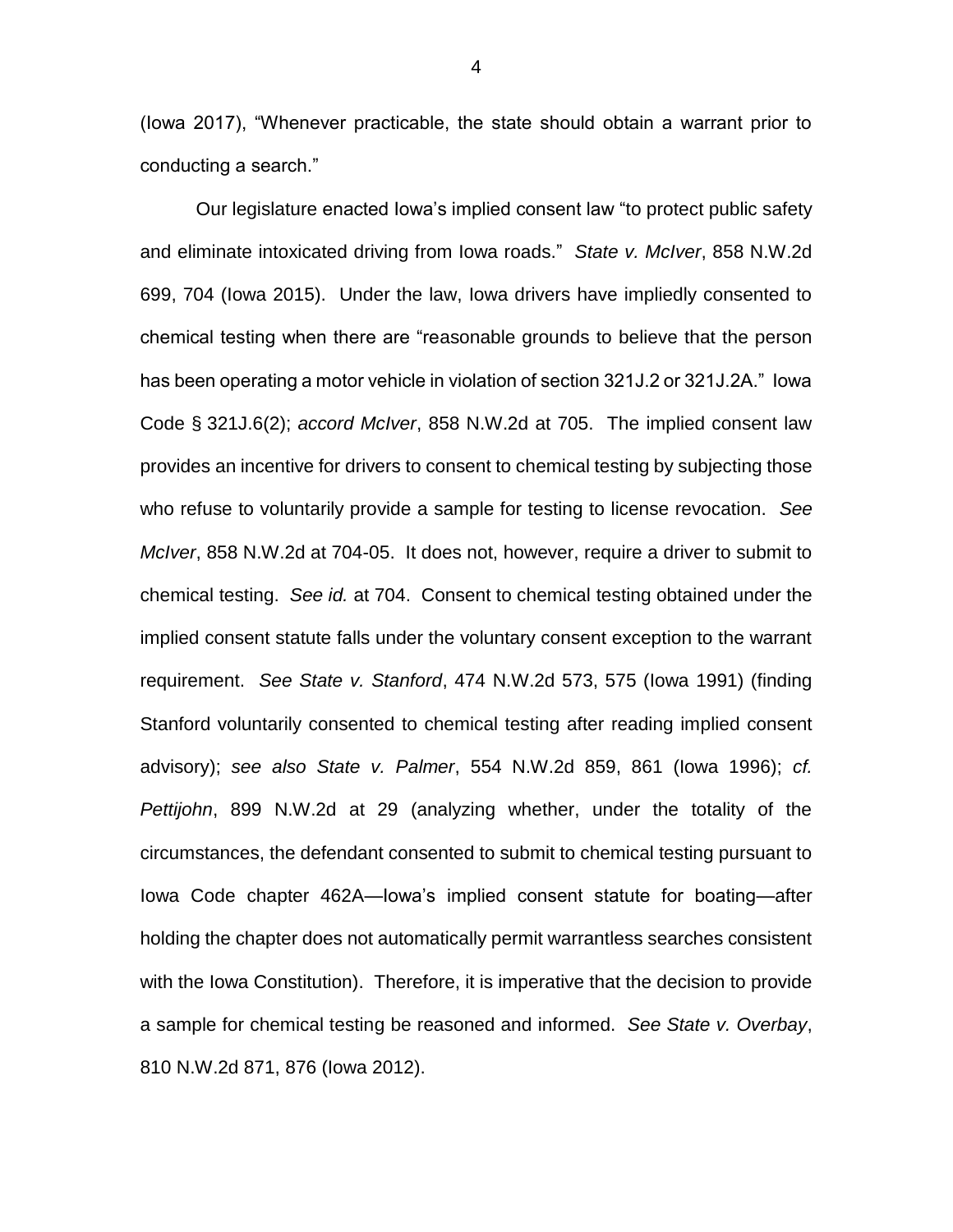(Iowa 2017), "Whenever practicable, the state should obtain a warrant prior to conducting a search."

Our legislature enacted Iowa's implied consent law "to protect public safety and eliminate intoxicated driving from Iowa roads." *State v. McIver*, 858 N.W.2d 699, 704 (Iowa 2015). Under the law, Iowa drivers have impliedly consented to chemical testing when there are "reasonable grounds to believe that the person has been operating a motor vehicle in violation of section 321J.2 or 321J.2A." Iowa Code § 321J.6(2); *accord McIver*, 858 N.W.2d at 705. The implied consent law provides an incentive for drivers to consent to chemical testing by subjecting those who refuse to voluntarily provide a sample for testing to license revocation. *See McIver*, 858 N.W.2d at 704-05.It does not, however, require a driver to submit to chemical testing. *See id.* at 704. Consent to chemical testing obtained under the implied consent statute falls under the voluntary consent exception to the warrant requirement. *See State v. Stanford*, 474 N.W.2d 573, 575 (Iowa 1991) (finding Stanford voluntarily consented to chemical testing after reading implied consent advisory); *see also State v. Palmer*, 554 N.W.2d 859, 861 (Iowa 1996); *cf. Pettijohn*, 899 N.W.2d at 29 (analyzing whether, under the totality of the circumstances, the defendant consented to submit to chemical testing pursuant to Iowa Code chapter 462A—Iowa's implied consent statute for boating—after holding the chapter does not automatically permit warrantless searches consistent with the Iowa Constitution).Therefore, it is imperative that the decision to provide a sample for chemical testing be reasoned and informed. *See State v. Overbay*, 810 N.W.2d 871, 876 (Iowa 2012).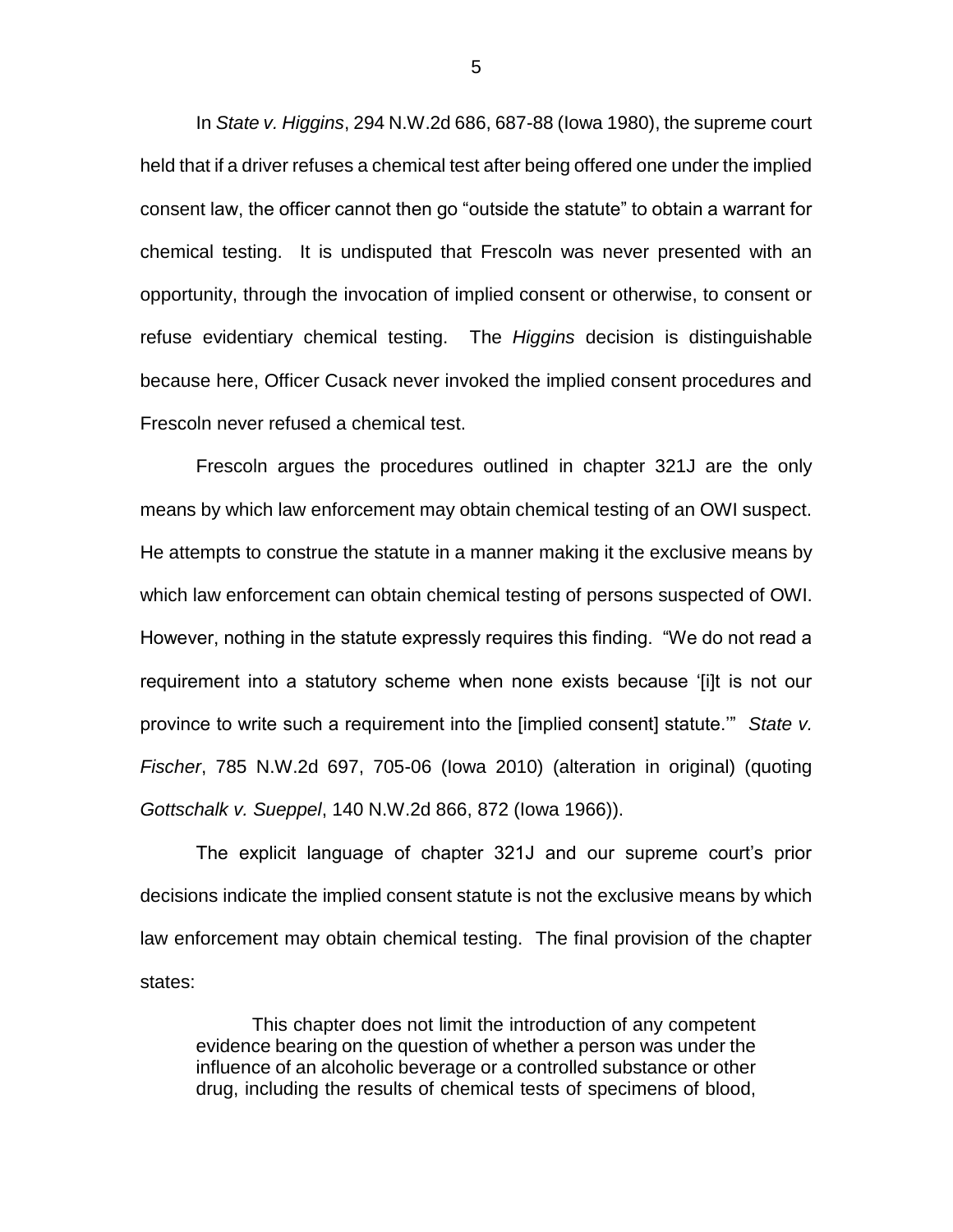In *State v. Higgins*, 294 N.W.2d 686, 687-88 (Iowa 1980), the supreme court held that if a driver refuses a chemical test after being offered one under the implied consent law, the officer cannot then go "outside the statute" to obtain a warrant for chemical testing. It is undisputed that Frescoln was never presented with an opportunity, through the invocation of implied consent or otherwise, to consent or refuse evidentiary chemical testing. The *Higgins* decision is distinguishable because here, Officer Cusack never invoked the implied consent procedures and Frescoln never refused a chemical test.

Frescoln argues the procedures outlined in chapter 321J are the only means by which law enforcement may obtain chemical testing of an OWI suspect. He attempts to construe the statute in a manner making it the exclusive means by which law enforcement can obtain chemical testing of persons suspected of OWI. However, nothing in the statute expressly requires this finding. "We do not read a requirement into a statutory scheme when none exists because '[i]t is not our province to write such a requirement into the [implied consent] statute.'" *State v. Fischer*, 785 N.W.2d 697, 705-06 (Iowa 2010) (alteration in original) (quoting *Gottschalk v. Sueppel*, 140 N.W.2d 866, 872 (Iowa 1966)).

The explicit language of chapter 321J and our supreme court's prior decisions indicate the implied consent statute is not the exclusive means by which law enforcement may obtain chemical testing. The final provision of the chapter states:

This chapter does not limit the introduction of any competent evidence bearing on the question of whether a person was under the influence of an alcoholic beverage or a controlled substance or other drug, including the results of chemical tests of specimens of blood,

5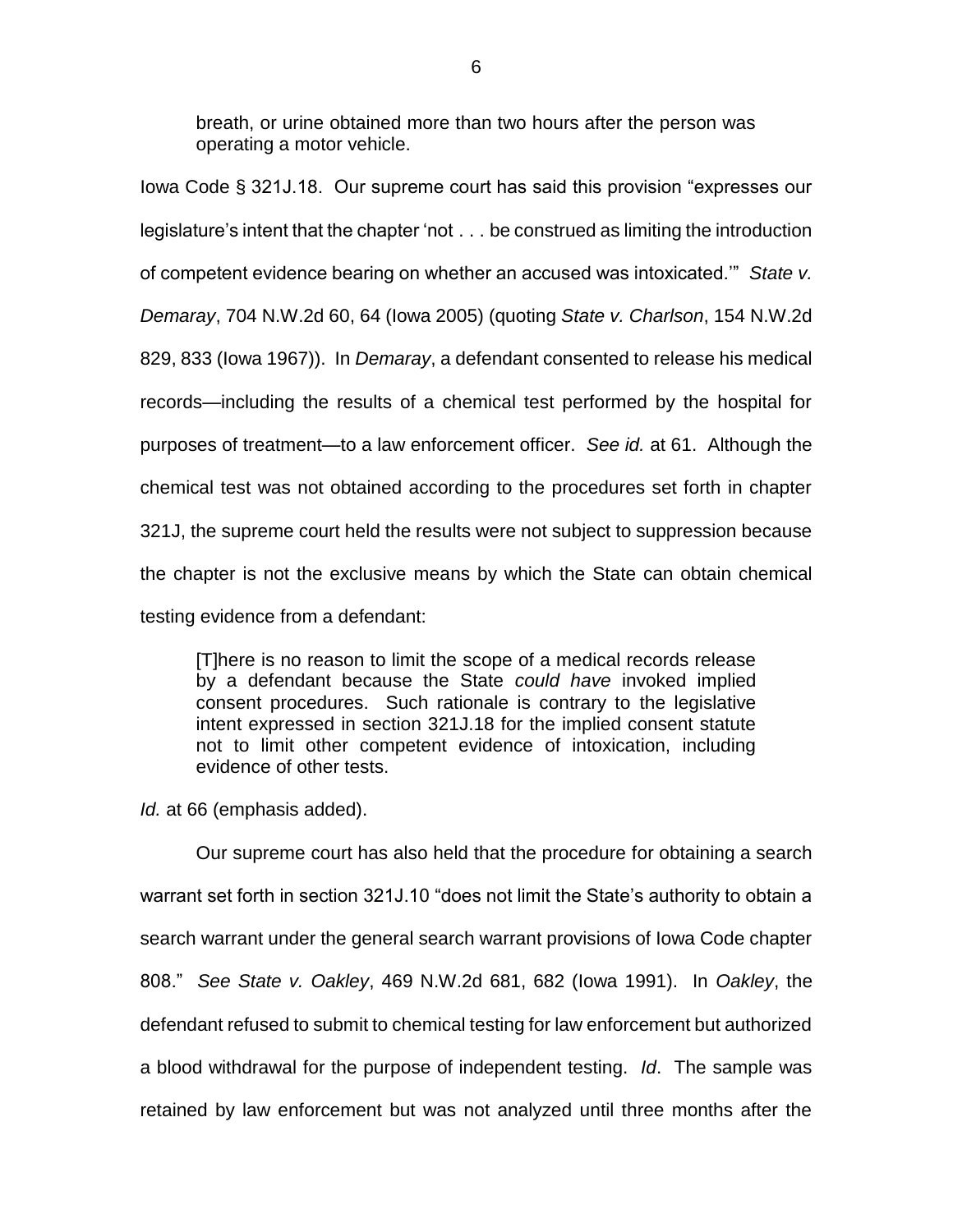breath, or urine obtained more than two hours after the person was operating a motor vehicle.

Iowa Code § 321J.18. Our supreme court has said this provision "expresses our legislature's intent that the chapter 'not . . . be construed as limiting the introduction of competent evidence bearing on whether an accused was intoxicated.'" *State v. Demaray*, 704 N.W.2d 60, 64 (Iowa 2005) (quoting *State v. Charlson*, 154 N.W.2d 829, 833 (Iowa 1967)). In *Demaray*, a defendant consented to release his medical records—including the results of a chemical test performed by the hospital for purposes of treatment—to a law enforcement officer. *See id.* at 61. Although the chemical test was not obtained according to the procedures set forth in chapter 321J, the supreme court held the results were not subject to suppression because the chapter is not the exclusive means by which the State can obtain chemical testing evidence from a defendant:

[T]here is no reason to limit the scope of a medical records release by a defendant because the State *could have* invoked implied consent procedures. Such rationale is contrary to the legislative intent expressed in section 321J.18 for the implied consent statute not to limit other competent evidence of intoxication, including evidence of other tests.

*Id.* at 66 (emphasis added).

Our supreme court has also held that the procedure for obtaining a search warrant set forth in section 321J.10 "does not limit the State's authority to obtain a search warrant under the general search warrant provisions of Iowa Code chapter 808." *See State v. Oakley*, 469 N.W.2d 681, 682 (Iowa 1991). In *Oakley*, the defendant refused to submit to chemical testing for law enforcement but authorized a blood withdrawal for the purpose of independent testing. *Id*. The sample was retained by law enforcement but was not analyzed until three months after the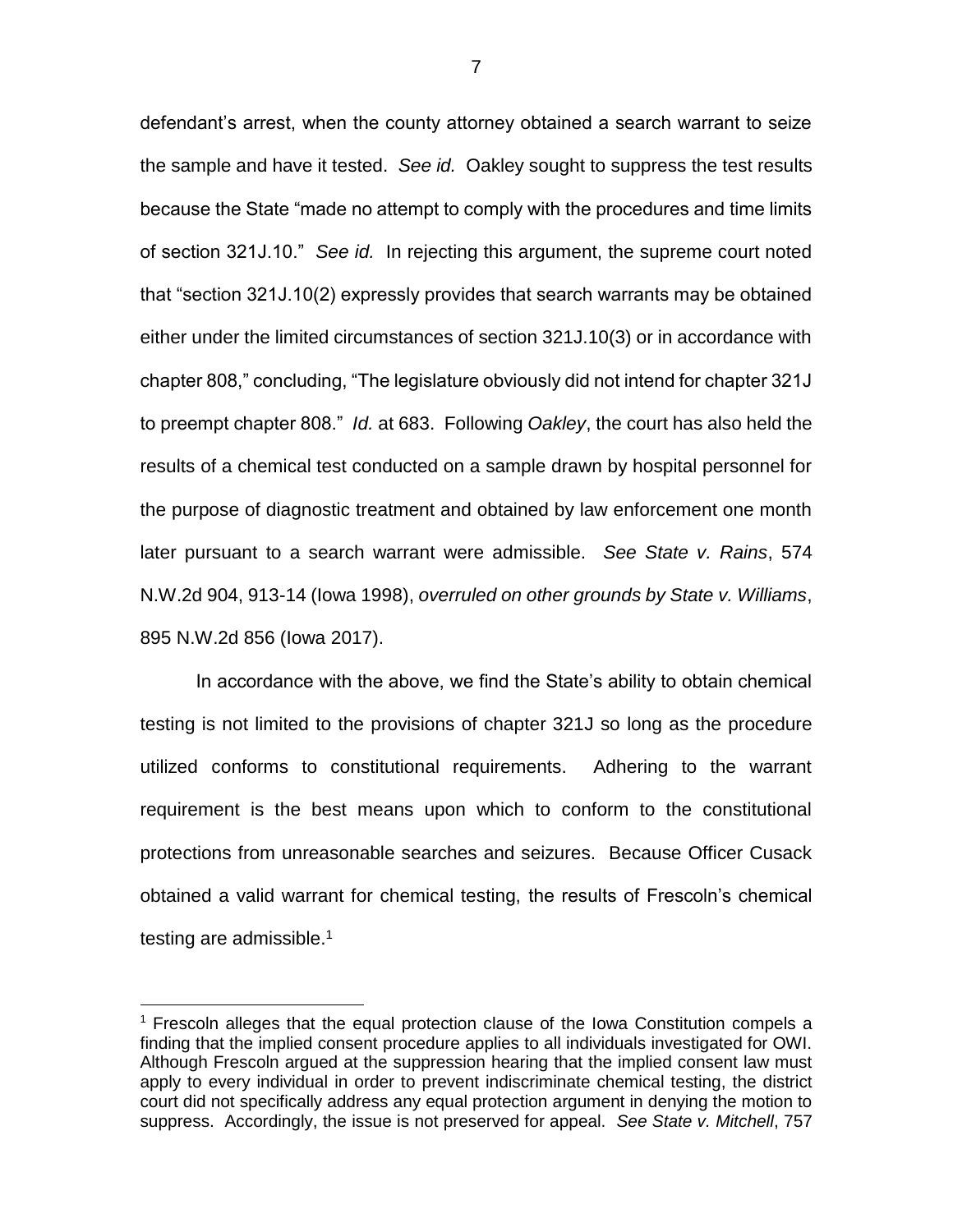defendant's arrest, when the county attorney obtained a search warrant to seize the sample and have it tested. *See id.* Oakley sought to suppress the test results because the State "made no attempt to comply with the procedures and time limits of section 321J.10." *See id.* In rejecting this argument, the supreme court noted that "section 321J.10(2) expressly provides that search warrants may be obtained either under the limited circumstances of section 321J.10(3) or in accordance with chapter 808," concluding, "The legislature obviously did not intend for chapter 321J to preempt chapter 808." *Id.* at 683. Following *Oakley*, the court has also held the results of a chemical test conducted on a sample drawn by hospital personnel for the purpose of diagnostic treatment and obtained by law enforcement one month later pursuant to a search warrant were admissible. *See State v. Rains*, 574 N.W.2d 904, 913-14 (Iowa 1998), *overruled on other grounds by State v. Williams*, 895 N.W.2d 856 (Iowa 2017).

In accordance with the above, we find the State's ability to obtain chemical testing is not limited to the provisions of chapter 321J so long as the procedure utilized conforms to constitutional requirements. Adhering to the warrant requirement is the best means upon which to conform to the constitutional protections from unreasonable searches and seizures. Because Officer Cusack obtained a valid warrant for chemical testing, the results of Frescoln's chemical testing are admissible.<sup>1</sup>

 $\overline{a}$ 

7

<sup>1</sup> Frescoln alleges that the equal protection clause of the Iowa Constitution compels a finding that the implied consent procedure applies to all individuals investigated for OWI. Although Frescoln argued at the suppression hearing that the implied consent law must apply to every individual in order to prevent indiscriminate chemical testing, the district court did not specifically address any equal protection argument in denying the motion to suppress. Accordingly, the issue is not preserved for appeal. *See State v. Mitchell*, 757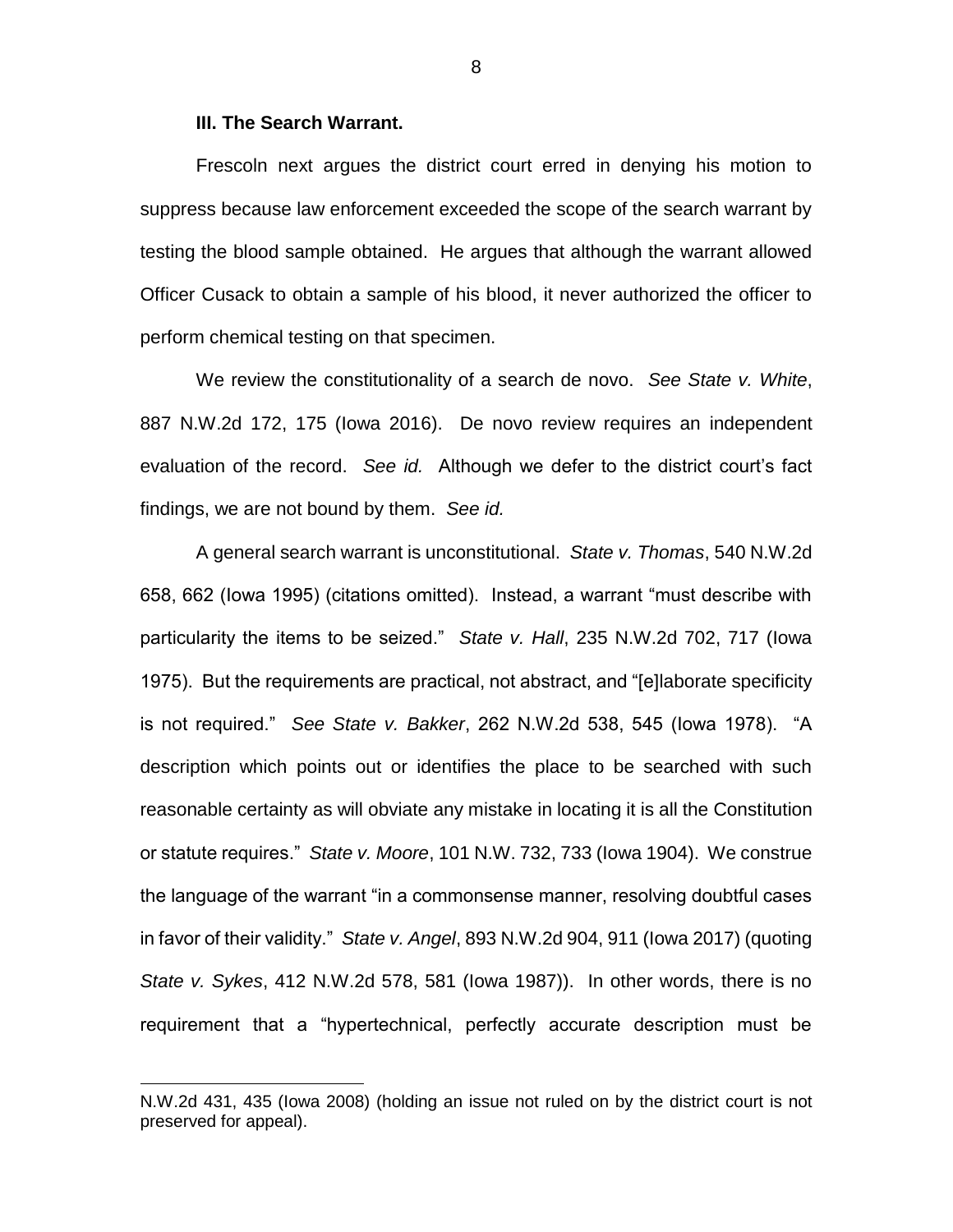#### **III. The Search Warrant.**

Frescoln next argues the district court erred in denying his motion to suppress because law enforcement exceeded the scope of the search warrant by testing the blood sample obtained. He argues that although the warrant allowed Officer Cusack to obtain a sample of his blood, it never authorized the officer to perform chemical testing on that specimen.

We review the constitutionality of a search de novo. *See State v. White*, 887 N.W.2d 172, 175 (Iowa 2016). De novo review requires an independent evaluation of the record. *See id.* Although we defer to the district court's fact findings, we are not bound by them. *See id.*

A general search warrant is unconstitutional. *State v. Thomas*, 540 N.W.2d 658, 662 (Iowa 1995) (citations omitted). Instead, a warrant "must describe with particularity the items to be seized." *State v. Hall*, 235 N.W.2d 702, 717 (Iowa 1975). But the requirements are practical, not abstract, and "[e]laborate specificity is not required." *See State v. Bakker*, 262 N.W.2d 538, 545 (Iowa 1978). "A description which points out or identifies the place to be searched with such reasonable certainty as will obviate any mistake in locating it is all the Constitution or statute requires." *State v. Moore*, 101 N.W. 732, 733 (Iowa 1904). We construe the language of the warrant "in a commonsense manner, resolving doubtful cases in favor of their validity." *State v. Angel*, 893 N.W.2d 904, 911 (Iowa 2017) (quoting *State v. Sykes*, 412 N.W.2d 578, 581 (Iowa 1987)). In other words, there is no requirement that a "hypertechnical, perfectly accurate description must be

 $\overline{a}$ 

N.W.2d 431, 435 (Iowa 2008) (holding an issue not ruled on by the district court is not preserved for appeal).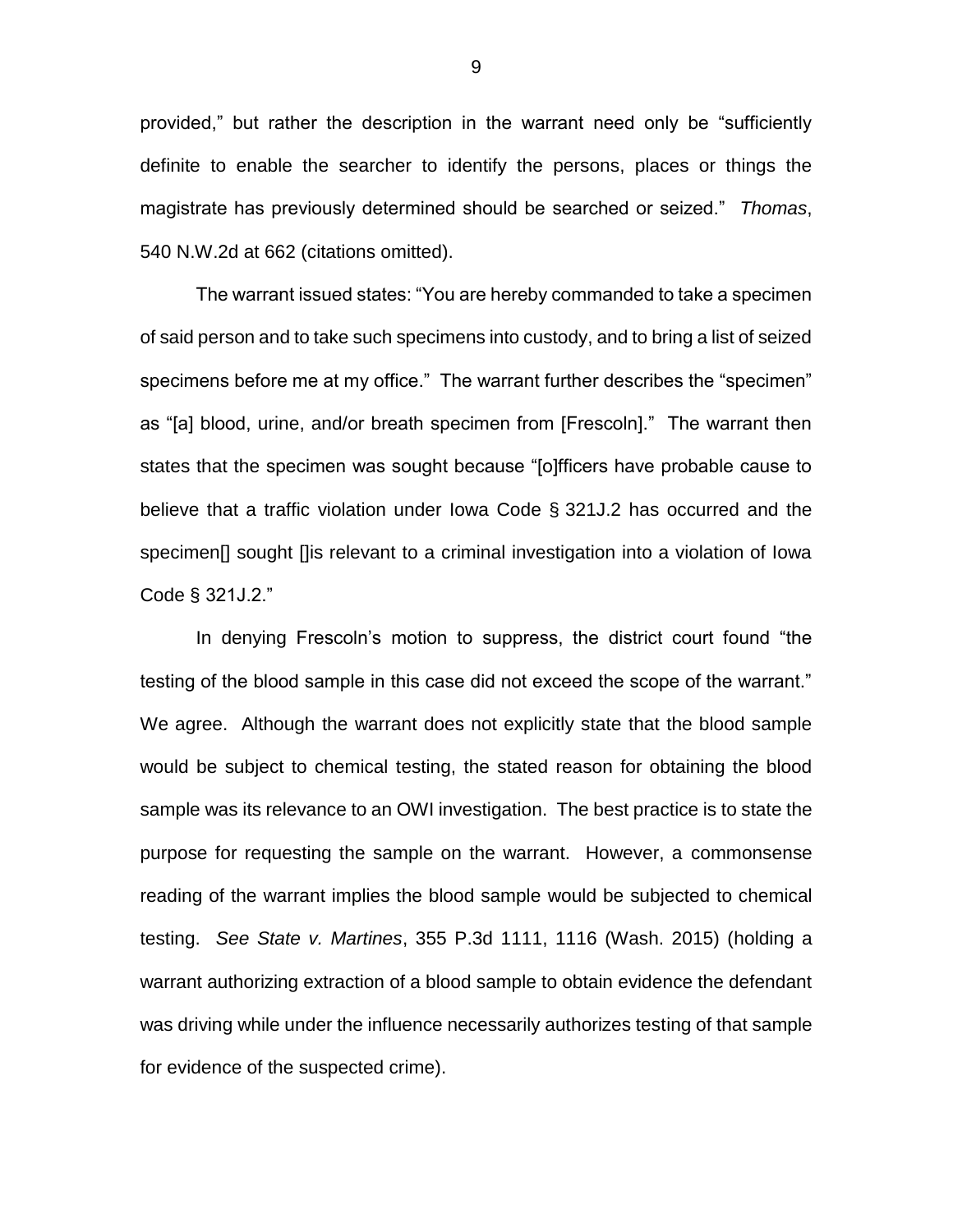provided," but rather the description in the warrant need only be "sufficiently definite to enable the searcher to identify the persons, places or things the magistrate has previously determined should be searched or seized." *Thomas*, 540 N.W.2d at 662 (citations omitted).

The warrant issued states: "You are hereby commanded to take a specimen of said person and to take such specimens into custody, and to bring a list of seized specimens before me at my office." The warrant further describes the "specimen" as "[a] blood, urine, and/or breath specimen from [Frescoln]." The warrant then states that the specimen was sought because "[o]fficers have probable cause to believe that a traffic violation under Iowa Code § 321J.2 has occurred and the specimen[] sought []is relevant to a criminal investigation into a violation of Iowa Code § 321J.2."

In denying Frescoln's motion to suppress, the district court found "the testing of the blood sample in this case did not exceed the scope of the warrant." We agree. Although the warrant does not explicitly state that the blood sample would be subject to chemical testing, the stated reason for obtaining the blood sample was its relevance to an OWI investigation. The best practice is to state the purpose for requesting the sample on the warrant. However, a commonsense reading of the warrant implies the blood sample would be subjected to chemical testing. *See State v. Martines*, 355 P.3d 1111, 1116 (Wash. 2015) (holding a warrant authorizing extraction of a blood sample to obtain evidence the defendant was driving while under the influence necessarily authorizes testing of that sample for evidence of the suspected crime).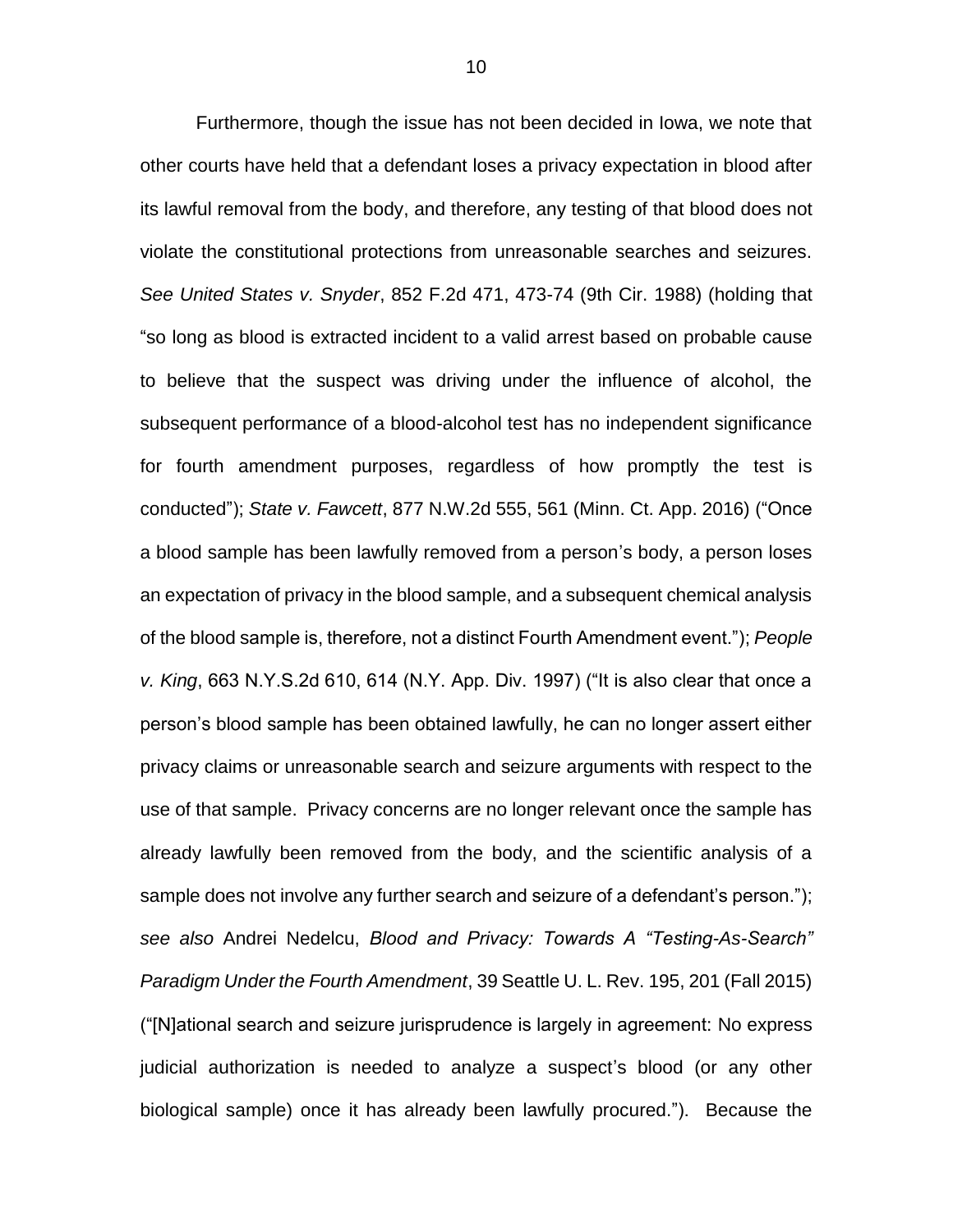Furthermore, though the issue has not been decided in Iowa, we note that other courts have held that a defendant loses a privacy expectation in blood after its lawful removal from the body, and therefore, any testing of that blood does not violate the constitutional protections from unreasonable searches and seizures. *See United States v. Snyder*, 852 F.2d 471, 473-74 (9th Cir. 1988) (holding that "so long as blood is extracted incident to a valid arrest based on probable cause to believe that the suspect was driving under the influence of alcohol, the subsequent performance of a blood-alcohol test has no independent significance for fourth amendment purposes, regardless of how promptly the test is conducted"); *State v. Fawcett*, 877 N.W.2d 555, 561 (Minn. Ct. App. 2016) ("Once a blood sample has been lawfully removed from a person's body, a person loses an expectation of privacy in the blood sample, and a subsequent chemical analysis of the blood sample is, therefore, not a distinct Fourth Amendment event."); *People v. King*, 663 N.Y.S.2d 610, 614 (N.Y. App. Div. 1997) ("It is also clear that once a person's blood sample has been obtained lawfully, he can no longer assert either privacy claims or unreasonable search and seizure arguments with respect to the use of that sample. Privacy concerns are no longer relevant once the sample has already lawfully been removed from the body, and the scientific analysis of a sample does not involve any further search and seizure of a defendant's person."); *see also* Andrei Nedelcu, *Blood and Privacy: Towards A "Testing-As-Search" Paradigm Under the Fourth Amendment*, 39 Seattle U. L. Rev. 195, 201 (Fall 2015) ("[N]ational search and seizure jurisprudence is largely in agreement: No express judicial authorization is needed to analyze a suspect's blood (or any other biological sample) once it has already been lawfully procured."). Because the